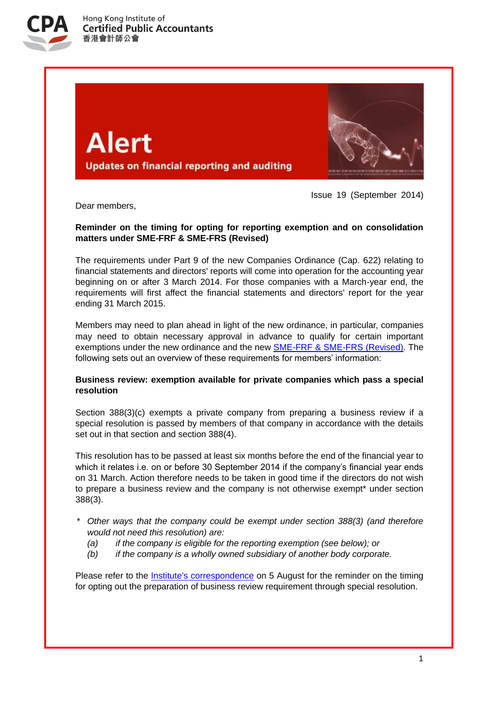

**Alert Updates on financial reporting and auditing** 



Issue 19 (September 2014)

Dear members,

# **Reminder on the timing for opting for reporting exemption and on consolidation matters under SME-FRF & SME-FRS (Revised)**

The requirements under Part 9 of the new Companies Ordinance (Cap. 622) relating to financial statements and directors' reports will come into operation for the accounting year beginning on or after 3 March 2014. For those companies with a March-year end, the requirements will first affect the financial statements and directors' report for the year ending 31 March 2015.

Members may need to plan ahead in light of the new ordinance, in particular, companies may need to obtain necessary approval in advance to qualify for certain important exemptions under the new ordinance and the new [SME-FRF & SME-FRS \(Revised\).](http://app1.hkicpa.org.hk/ebook/HKSA_Members_Handbook_Master/volumeII/sme-frf&sme-frs_re.pdf) The following sets out an overview of these requirements for members' information:

## **Business review: exemption available for private companies which pass a special resolution**

Section 388(3)(c) exempts a private company from preparing a business review if a special resolution is passed by members of that company in accordance with the details set out in that section and section 388(4).

This resolution has to be passed at least six months before the end of the financial year to which it relates i.e. on or before 30 September 2014 if the company's financial year ends on 31 March. Action therefore needs to be taken in good time if the directors do not wish to prepare a business review and the company is not otherwise exempt\* under section 388(3).

- *\* Other ways that the company could be exempt under section 388(3) (and therefore would not need this resolution) are:*
	- *(a) if the company is eligible for the reporting exemption (see below); or*
	- *(b) if the company is a wholly owned subsidiary of another body corporate.*

Please refer to the [Institute's correspondence](http://www.hkicpa.org.hk/file/media/section6_standards/technical_resources/ecir1.pdf) on 5 August for the reminder on the timing for opting out the preparation of business review requirement through special resolution.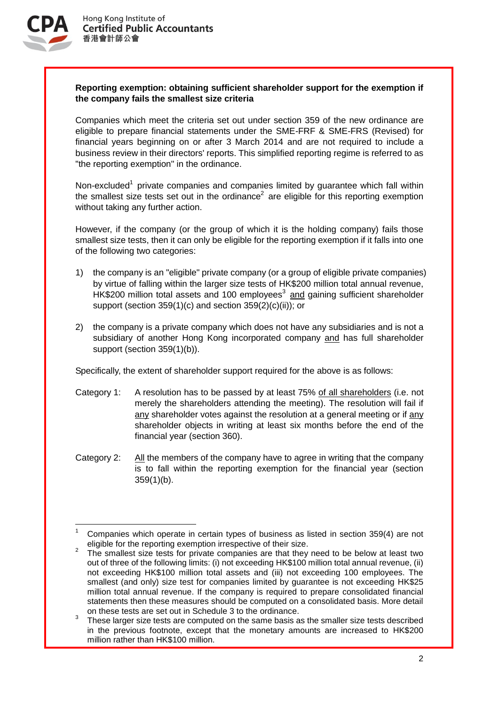

1

## **Reporting exemption: obtaining sufficient shareholder support for the exemption if the company fails the smallest size criteria**

Companies which meet the criteria set out under section 359 of the new ordinance are eligible to prepare financial statements under the SME-FRF & SME-FRS (Revised) for financial years beginning on or after 3 March 2014 and are not required to include a business review in their directors' reports. This simplified reporting regime is referred to as "the reporting exemption" in the ordinance.

Non-excluded<sup>1</sup> private companies and companies limited by guarantee which fall within the smallest size tests set out in the ordinance<sup>2</sup> are eligible for this reporting exemption without taking any further action.

However, if the company (or the group of which it is the holding company) fails those smallest size tests, then it can only be eligible for the reporting exemption if it falls into one of the following two categories:

- 1) the company is an "eligible" private company (or a group of eligible private companies) by virtue of falling within the larger size tests of HK\$200 million total annual revenue, HK\$200 million total assets and 100 employees<sup>3</sup> and gaining sufficient shareholder support (section 359(1)(c) and section 359(2)(c)(ii)); or
- 2) the company is a private company which does not have any subsidiaries and is not a subsidiary of another Hong Kong incorporated company and has full shareholder support (section 359(1)(b)).

Specifically, the extent of shareholder support required for the above is as follows:

- Category 1: A resolution has to be passed by at least 75% of all shareholders (i.e. not merely the shareholders attending the meeting). The resolution will fail if any shareholder votes against the resolution at a general meeting or if any shareholder objects in writing at least six months before the end of the financial year (section 360).
- Category 2: All the members of the company have to agree in writing that the company is to fall within the reporting exemption for the financial year (section 359(1)(b).

<sup>1</sup> Companies which operate in certain types of business as listed in section 359(4) are not eligible for the reporting exemption irrespective of their size.

<sup>2</sup> The smallest size tests for private companies are that they need to be below at least two out of three of the following limits: (i) not exceeding HK\$100 million total annual revenue, (ii) not exceeding HK\$100 million total assets and (iii) not exceeding 100 employees. The smallest (and only) size test for companies limited by quarantee is not exceeding HK\$25 million total annual revenue. If the company is required to prepare consolidated financial statements then these measures should be computed on a consolidated basis. More detail on these tests are set out in Schedule 3 to the ordinance.

<sup>3</sup> These larger size tests are computed on the same basis as the smaller size tests described in the previous footnote, except that the monetary amounts are increased to HK\$200 million rather than HK\$100 million.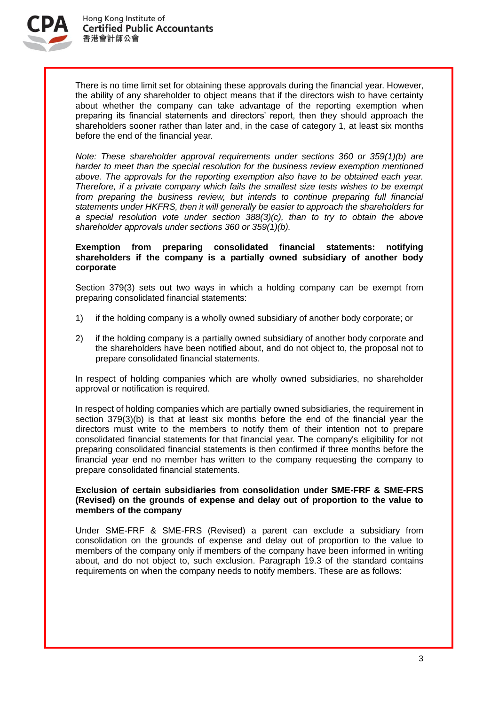

There is no time limit set for obtaining these approvals during the financial year. However, the ability of any shareholder to object means that if the directors wish to have certainty about whether the company can take advantage of the reporting exemption when preparing its financial statements and directors' report, then they should approach the shareholders sooner rather than later and, in the case of category 1, at least six months before the end of the financial year.

*Note: These shareholder approval requirements under sections 360 or 359(1)(b) are harder to meet than the special resolution for the business review exemption mentioned above. The approvals for the reporting exemption also have to be obtained each year. Therefore, if a private company which fails the smallest size tests wishes to be exempt from preparing the business review, but intends to continue preparing full financial statements under HKFRS, then it will generally be easier to approach the shareholders for a special resolution vote under section 388(3)(c), than to try to obtain the above shareholder approvals under sections 360 or 359(1)(b).*

#### **Exemption from preparing consolidated financial statements: notifying shareholders if the company is a partially owned subsidiary of another body corporate**

Section 379(3) sets out two ways in which a holding company can be exempt from preparing consolidated financial statements:

- 1) if the holding company is a wholly owned subsidiary of another body corporate; or
- 2) if the holding company is a partially owned subsidiary of another body corporate and the shareholders have been notified about, and do not object to, the proposal not to prepare consolidated financial statements.

In respect of holding companies which are wholly owned subsidiaries, no shareholder approval or notification is required.

In respect of holding companies which are partially owned subsidiaries, the requirement in section 379(3)(b) is that at least six months before the end of the financial year the directors must write to the members to notify them of their intention not to prepare consolidated financial statements for that financial year. The company's eligibility for not preparing consolidated financial statements is then confirmed if three months before the financial year end no member has written to the company requesting the company to prepare consolidated financial statements.

#### **Exclusion of certain subsidiaries from consolidation under SME-FRF & SME-FRS (Revised) on the grounds of expense and delay out of proportion to the value to members of the company**

Under SME-FRF & SME-FRS (Revised) a parent can exclude a subsidiary from consolidation on the grounds of expense and delay out of proportion to the value to members of the company only if members of the company have been informed in writing about, and do not object to, such exclusion. Paragraph 19.3 of the standard contains requirements on when the company needs to notify members. These are as follows: